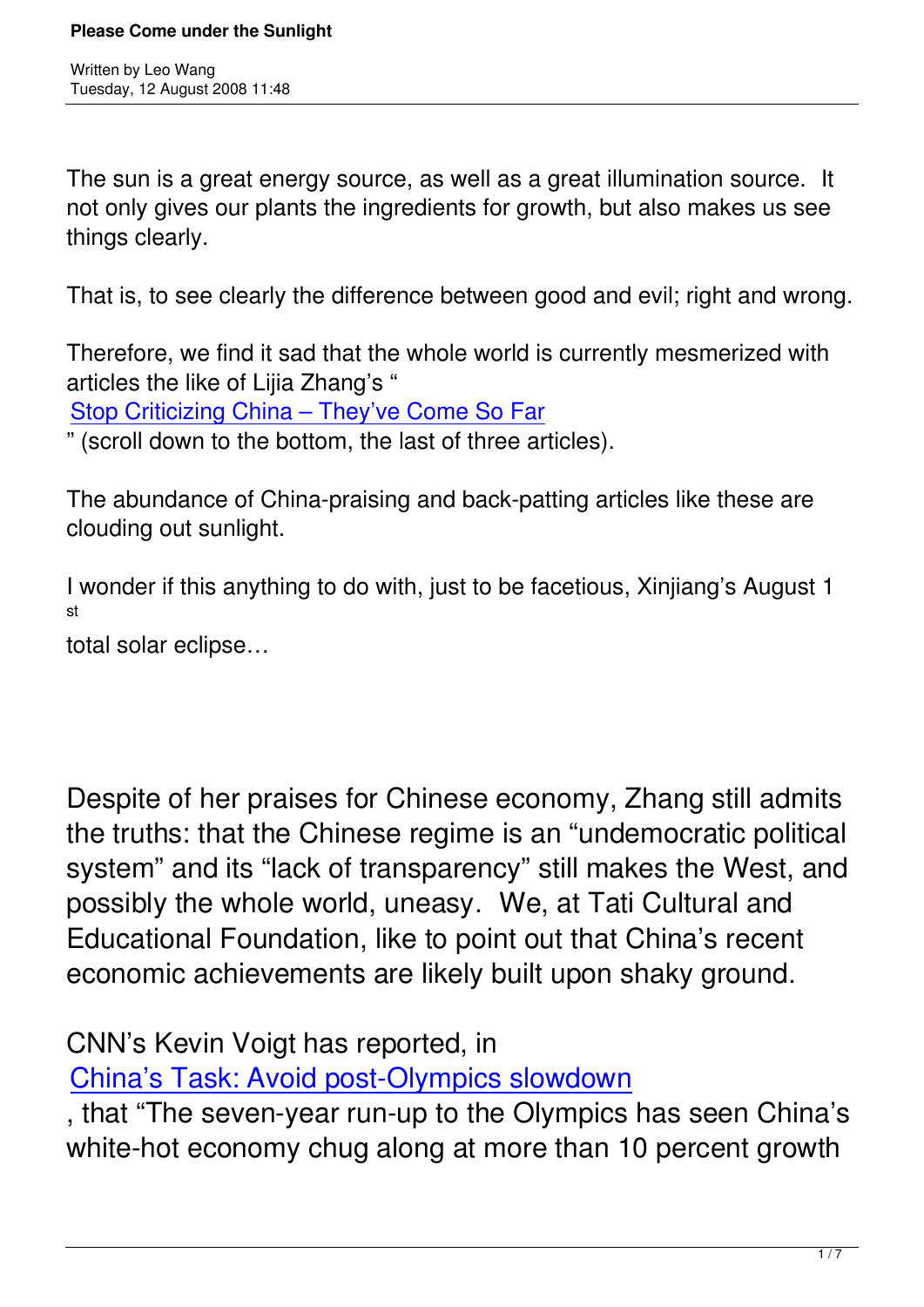The sun is a great energy source, as well as a great illumination source. It not only gives our plants the ingredients for growth, but also makes us see things clearly.

That is, to see clearly the difference between good and evil; right and wrong.

Therefore, we find it sad that the whole world is currently mesmerized with articles the like of Lijia Zhang's "

Stop Criticizing China – They've Come So Far

" (scroll down to the bottom, the last of three articles).

[The abundance of China-praising and back-pa](http://taiwantt.org.tw/taipeitimes/2008/08/20080806.htm)tting articles like these are clouding out sunlight.

I wonder if this anything to do with, just to be facetious, Xinjiang's August 1 st

total solar eclipse…

Despite of her praises for Chinese economy, Zhang still admits the truths: that the Chinese regime is an "undemocratic political system" and its "lack of transparency" still makes the West, and possibly the whole world, uneasy. We, at Tati Cultural and Educational Foundation, like to point out that China's recent economic achievements are likely built upon shaky ground.

CNN's Kevin Voigt has reported, in China's Task: Avoid post-Olympics slowdown

, that "The seven-year run-up to the Olympics has seen China's [white-hot economy chug along at more than 1](http://edition.cnn.com/2008/WORLD/asiapcf/08/05/oly.china.economy/index.html)0 percent growth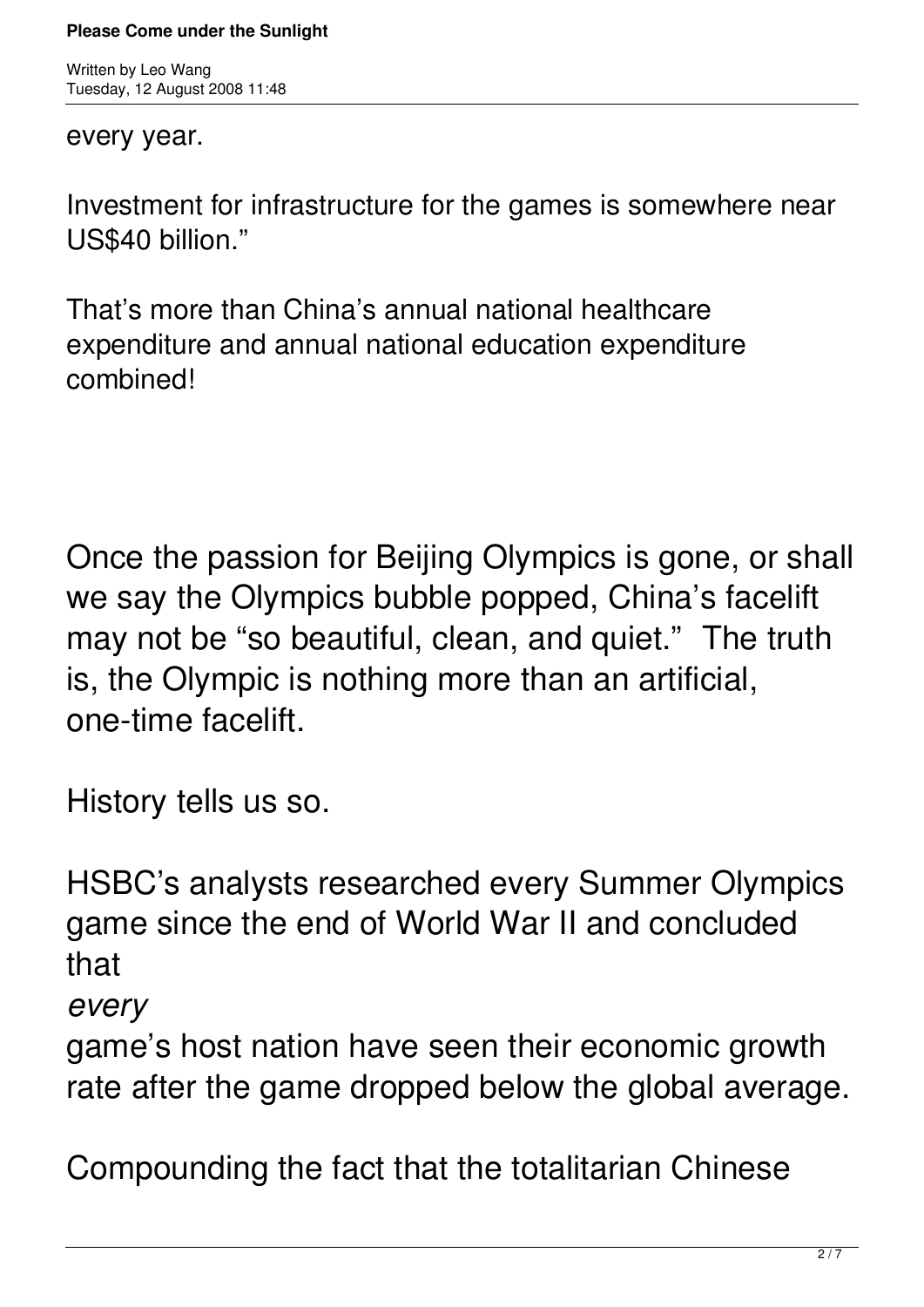Written by Leo Wang Tuesday, 12 August 2008 11:48

## every year.

Investment for infrastructure for the games is somewhere near US\$40 billion."

That's more than China's annual national healthcare expenditure and annual national education expenditure combined!

Once the passion for Beijing Olympics is gone, or shall we say the Olympics bubble popped, China's facelift may not be "so beautiful, clean, and quiet." The truth is, the Olympic is nothing more than an artificial, one-time facelift.

History tells us so.

HSBC's analysts researched every Summer Olympics game since the end of World War II and concluded that

*every*

game's host nation have seen their economic growth rate after the game dropped below the global average.

Compounding the fact that the totalitarian Chinese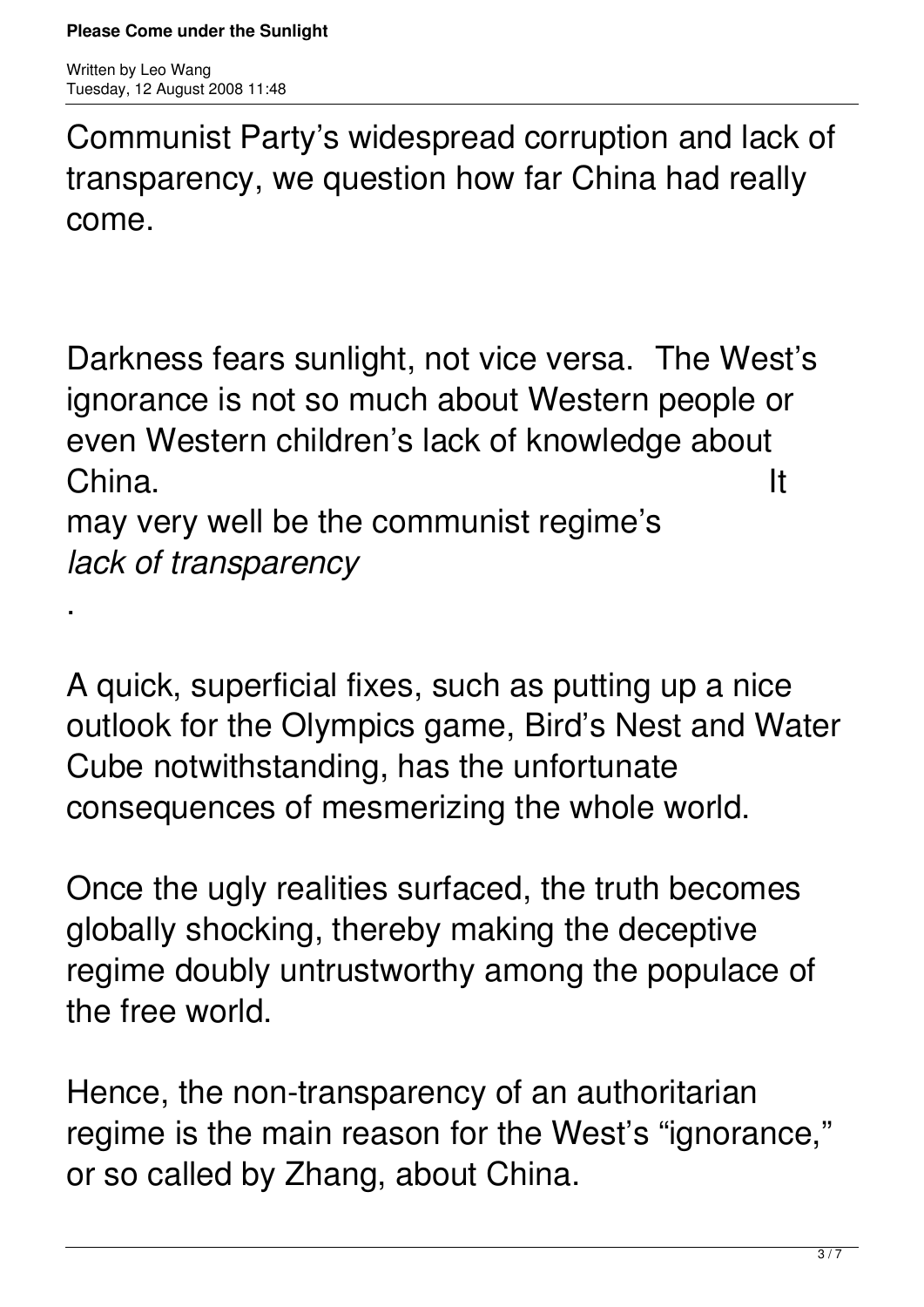.

Communist Party's widespread corruption and lack of transparency, we question how far China had really come.

Darkness fears sunlight, not vice versa. The West's ignorance is not so much about Western people or even Western children's lack of knowledge about  $China.$ 

may very well be the communist regime's *lack of transparency*

A quick, superficial fixes, such as putting up a nice outlook for the Olympics game, Bird's Nest and Water Cube notwithstanding, has the unfortunate consequences of mesmerizing the whole world.

Once the ugly realities surfaced, the truth becomes globally shocking, thereby making the deceptive regime doubly untrustworthy among the populace of the free world.

Hence, the non-transparency of an authoritarian regime is the main reason for the West's "ignorance," or so called by Zhang, about China.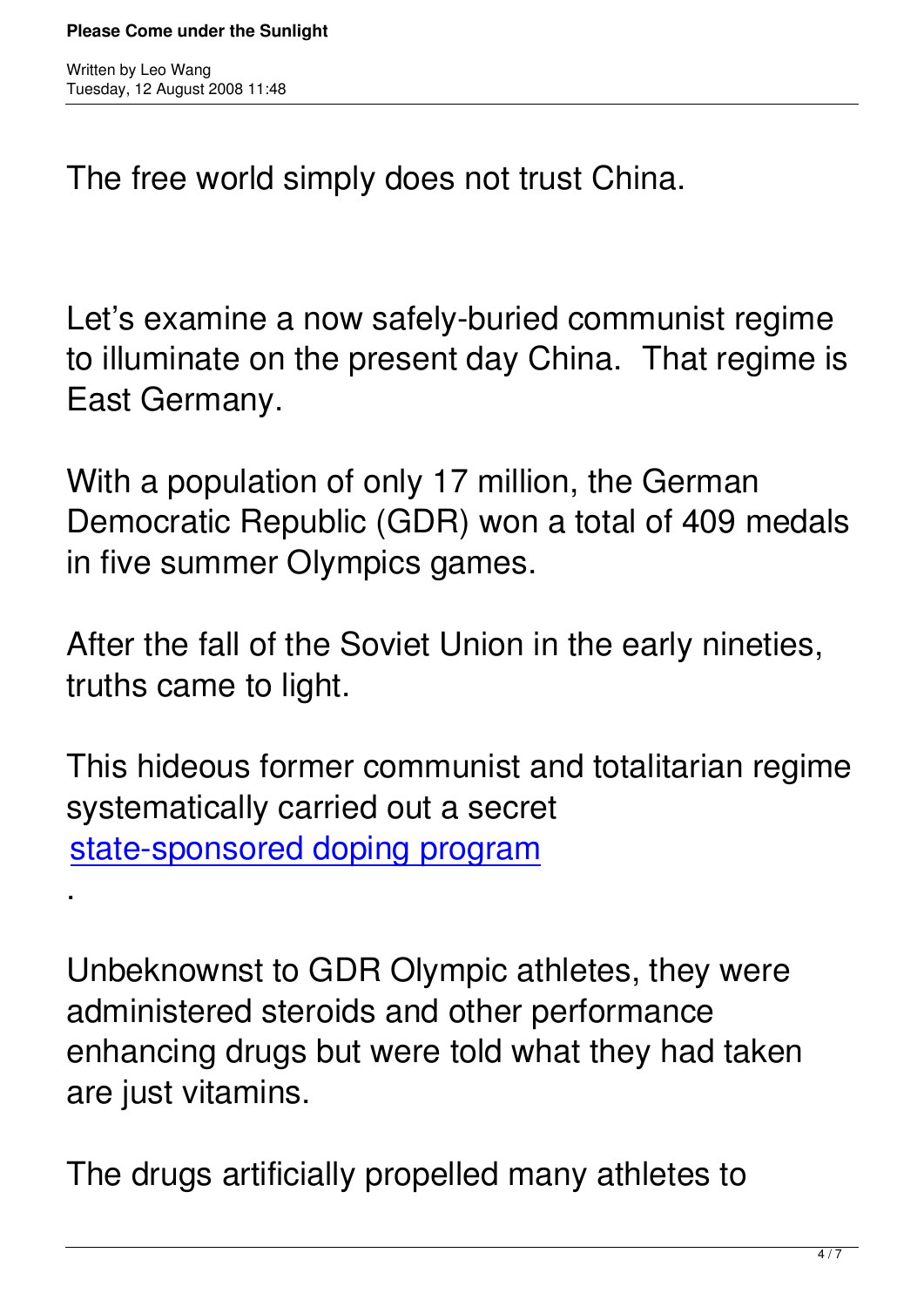.

The free world simply does not trust China.

Let's examine a now safely-buried communist regime to illuminate on the present day China. That regime is East Germany.

With a population of only 17 million, the German Democratic Republic (GDR) won a total of 409 medals in five summer Olympics games.

After the fall of the Soviet Union in the early nineties, truths came to light.

This hideous former communist and totalitarian regime systematically carried out a secret state-sponsored doping program

Unbeknownst to GDR Olympic athletes, they were administered steroids and other performance enhancing drugs but were told what they had taken are just vitamins.

The drugs artificially propelled many athletes to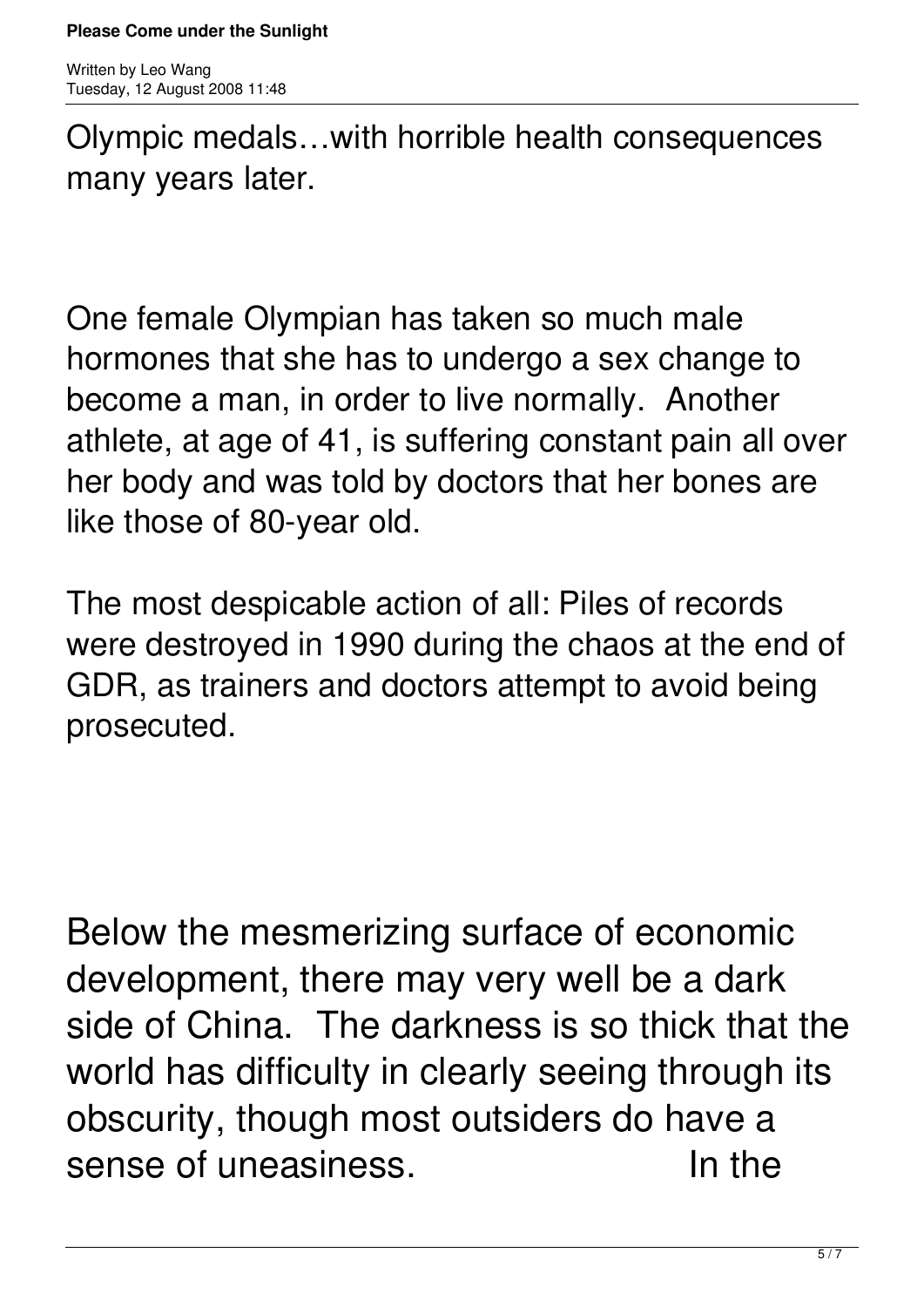Olympic medals…with horrible health consequences many years later.

One female Olympian has taken so much male hormones that she has to undergo a sex change to become a man, in order to live normally. Another athlete, at age of 41, is suffering constant pain all over her body and was told by doctors that her bones are like those of 80-year old.

The most despicable action of all: Piles of records were destroyed in 1990 during the chaos at the end of GDR, as trainers and doctors attempt to avoid being prosecuted.

Below the mesmerizing surface of economic development, there may very well be a dark side of China. The darkness is so thick that the world has difficulty in clearly seeing through its obscurity, though most outsiders do have a sense of uneasiness. The ln the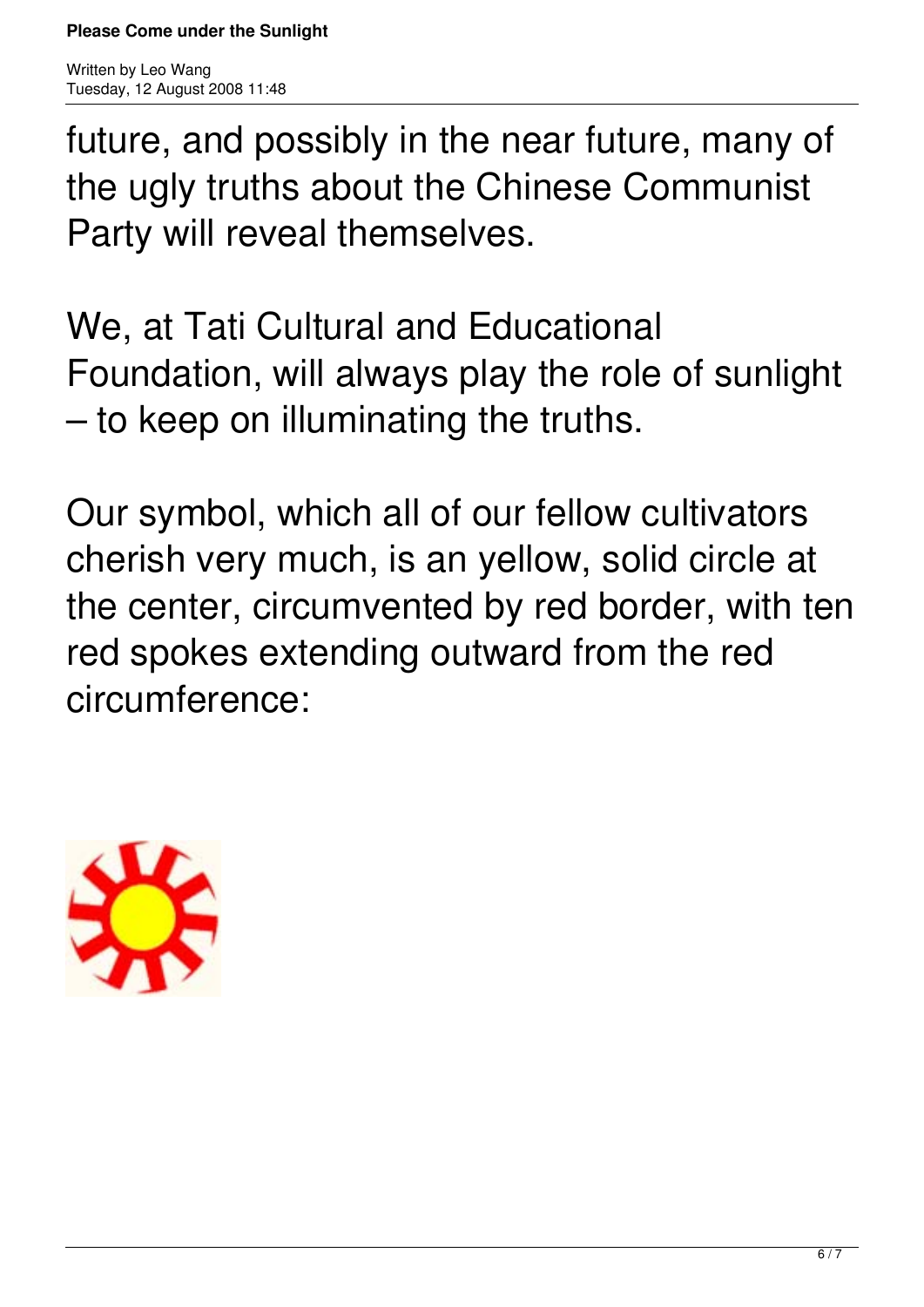future, and possibly in the near future, many of the ugly truths about the Chinese Communist Party will reveal themselves.

We, at Tati Cultural and Educational Foundation, will always play the role of sunlight – to keep on illuminating the truths.

Our symbol, which all of our fellow cultivators cherish very much, is an yellow, solid circle at the center, circumvented by red border, with ten red spokes extending outward from the red circumference: